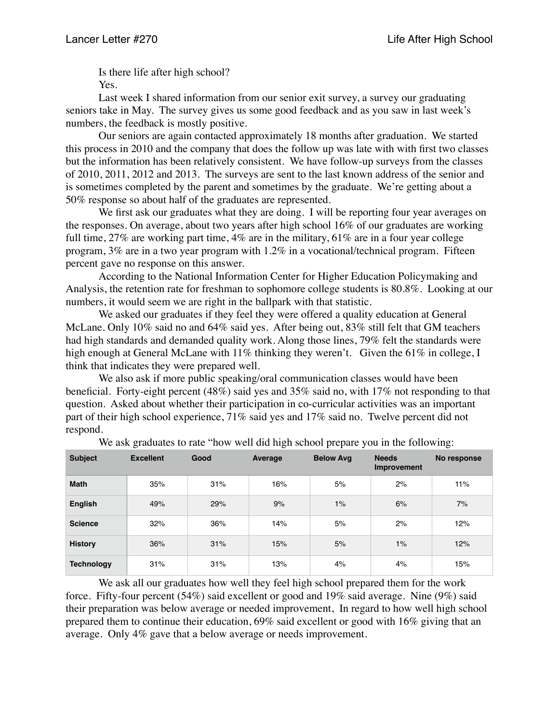Is there life after high school? Yes.

Last week I shared information from our senior exit survey, a survey our graduating seniors take in May. The survey gives us some good feedback and as you saw in last week's numbers, the feedback is mostly positive.

Our seniors are again contacted approximately 18 months after graduation. We started this process in 2010 and the company that does the follow up was late with with first two classes but the information has been relatively consistent. We have follow-up surveys from the classes of 2010, 2011, 2012 and 2013. The surveys are sent to the last known address of the senior and is sometimes completed by the parent and sometimes by the graduate. We're getting about a 50% response so about half of the graduates are represented.

We first ask our graduates what they are doing. I will be reporting four year averages on the responses. On average, about two years after high school 16% of our graduates are working full time,  $27\%$  are working part time,  $4\%$  are in the military,  $61\%$  are in a four year college program, 3% are in a two year program with 1.2% in a vocational/technical program. Fifteen percent gave no response on this answer.

According to the National Information Center for Higher Education Policymaking and Analysis, the retention rate for freshman to sophomore college students is 80.8%. Looking at our numbers, it would seem we are right in the ballpark with that statistic.

We asked our graduates if they feel they were offered a quality education at General McLane. Only 10% said no and 64% said yes. After being out, 83% still felt that GM teachers had high standards and demanded quality work. Along those lines, 79% felt the standards were high enough at General McLane with 11% thinking they weren't. Given the 61% in college, I think that indicates they were prepared well.

We also ask if more public speaking/oral communication classes would have been beneficial. Forty-eight percent (48%) said yes and 35% said no, with 17% not responding to that question. Asked about whether their participation in co-curricular activities was an important part of their high school experience, 71% said yes and 17% said no. Twelve percent did not respond.

| <b>Subject</b>    | <b>Excellent</b> | Good | Average | <b>Below Avg</b> | <b>Needs</b><br>Improvement | No response |
|-------------------|------------------|------|---------|------------------|-----------------------------|-------------|
| <b>Math</b>       | 35%              | 31%  | 16%     | 5%               | 2%                          | 11%         |
| <b>English</b>    | 49%              | 29%  | 9%      | 1%               | 6%                          | 7%          |
| <b>Science</b>    | 32%              | 36%  | 14%     | 5%               | 2%                          | 12%         |
| <b>History</b>    | 36%              | 31%  | 15%     | 5%               | 1%                          | 12%         |
| <b>Technology</b> | 31%              | 31%  | 13%     | 4%               | 4%                          | 15%         |

We ask graduates to rate "how well did high school prepare you in the following:

We ask all our graduates how well they feel high school prepared them for the work force. Fifty-four percent (54%) said excellent or good and 19% said average. Nine (9%) said their preparation was below average or needed improvement, In regard to how well high school prepared them to continue their education, 69% said excellent or good with 16% giving that an average. Only 4% gave that a below average or needs improvement.